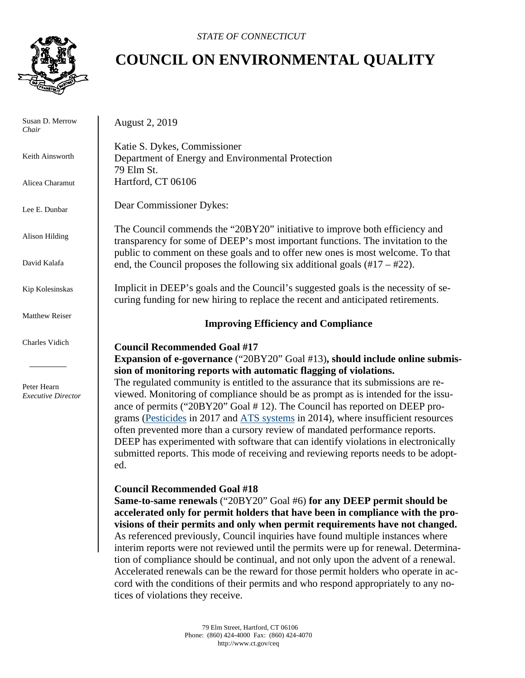

 Susan D. Merrow *Chair* 

Keith Ainsworth

Alicea Charamut

Lee E. Dunbar

Alison Hilding

David Kalafa

Kip Kolesinskas

Matthew Reiser

Charles Vidich

 Peter Hearn  *Executive Director*

# **COUNCIL ON ENVIRONMENTAL QUALITY**

August 2, 2019

Katie S. Dykes, Commissioner Department of Energy and Environmental Protection 79 Elm St. Hartford, CT 06106

Dear Commissioner Dykes:

The Council commends the "20BY20" initiative to improve both efficiency and transparency for some of DEEP's most important functions. The invitation to the public to comment on these goals and to offer new ones is most welcome. To that end, the Council proposes the following six additional goals  $(\text{\#}17 - \text{\#}22)$ .

Implicit in DEEP's goals and the Council's suggested goals is the necessity of securing funding for new hiring to replace the recent and anticipated retirements.

# **Improving Efficiency and Compliance**

# **Council Recommended Goal #17**

**Expansion of e-governance** ("20BY20" Goal #13)**, should include online submission of monitoring reports with automatic flagging of violations.**

The regulated community is entitled to the assurance that its submissions are reviewed. Monitoring of compliance should be as prompt as is intended for the issuance of permits ("20BY20" Goal # 12). The Council has reported on DEEP programs (Pesticides in 2017 and ATS systems in 2014), where insufficient resources often prevented more than a cursory review of mandated performance reports. DEEP has experimented with software that can identify violations in electronically submitted reports. This mode of receiving and reviewing reports needs to be adopted.

# **Council Recommended Goal #18**

**Same-to-same renewals** ("20BY20" Goal #6) **for any DEEP permit should be accelerated only for permit holders that have been in compliance with the provisions of their permits and only when permit requirements have not changed.**  As referenced previously, Council inquiries have found multiple instances where interim reports were not reviewed until the permits were up for renewal. Determination of compliance should be continual, and not only upon the advent of a renewal. Accelerated renewals can be the reward for those permit holders who operate in accord with the conditions of their permits and who respond appropriately to any notices of violations they receive.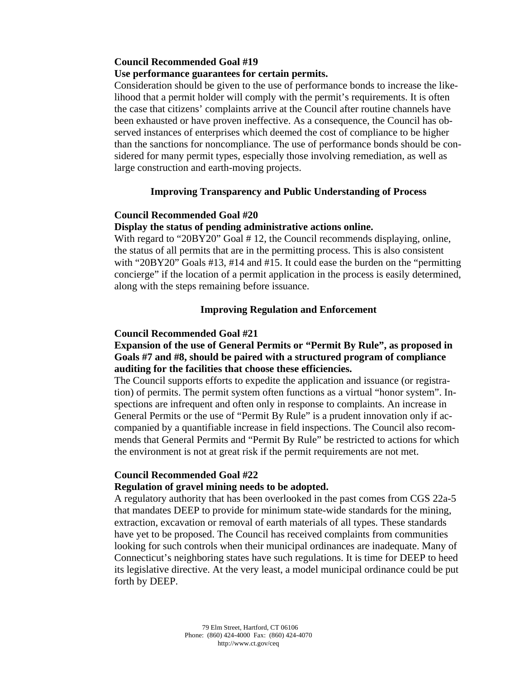## **Council Recommended Goal #19**

## **Use performance guarantees for certain permits.**

Consideration should be given to the use of performance bonds to increase the likelihood that a permit holder will comply with the permit's requirements. It is often the case that citizens' complaints arrive at the Council after routine channels have been exhausted or have proven ineffective. As a consequence, the Council has observed instances of enterprises which deemed the cost of compliance to be higher than the sanctions for noncompliance. The use of performance bonds should be considered for many permit types, especially those involving remediation, as well as large construction and earth-moving projects.

## **Improving Transparency and Public Understanding of Process**

#### **Council Recommended Goal #20**

#### **Display the status of pending administrative actions online.**

With regard to "20BY20" Goal #12, the Council recommends displaying, online, the status of all permits that are in the permitting process. This is also consistent with "20BY20" Goals #13, #14 and #15. It could ease the burden on the "permitting concierge" if the location of a permit application in the process is easily determined, along with the steps remaining before issuance.

## **Improving Regulation and Enforcement**

#### **Council Recommended Goal #21**

## **Expansion of the use of General Permits or "Permit By Rule", as proposed in Goals #7 and #8, should be paired with a structured program of compliance auditing for the facilities that choose these efficiencies.**

The Council supports efforts to expedite the application and issuance (or registration) of permits. The permit system often functions as a virtual "honor system". Inspections are infrequent and often only in response to complaints. An increase in General Permits or the use of "Permit By Rule" is a prudent innovation only if accompanied by a quantifiable increase in field inspections. The Council also recommends that General Permits and "Permit By Rule" be restricted to actions for which the environment is not at great risk if the permit requirements are not met.

#### **Council Recommended Goal #22**

#### **Regulation of gravel mining needs to be adopted.**

A regulatory authority that has been overlooked in the past comes from CGS 22a-5 that mandates DEEP to provide for minimum state-wide standards for the mining, extraction, excavation or removal of earth materials of all types. These standards have yet to be proposed. The Council has received complaints from communities looking for such controls when their municipal ordinances are inadequate. Many of Connecticut's neighboring states have such regulations. It is time for DEEP to heed its legislative directive. At the very least, a model municipal ordinance could be put forth by DEEP.